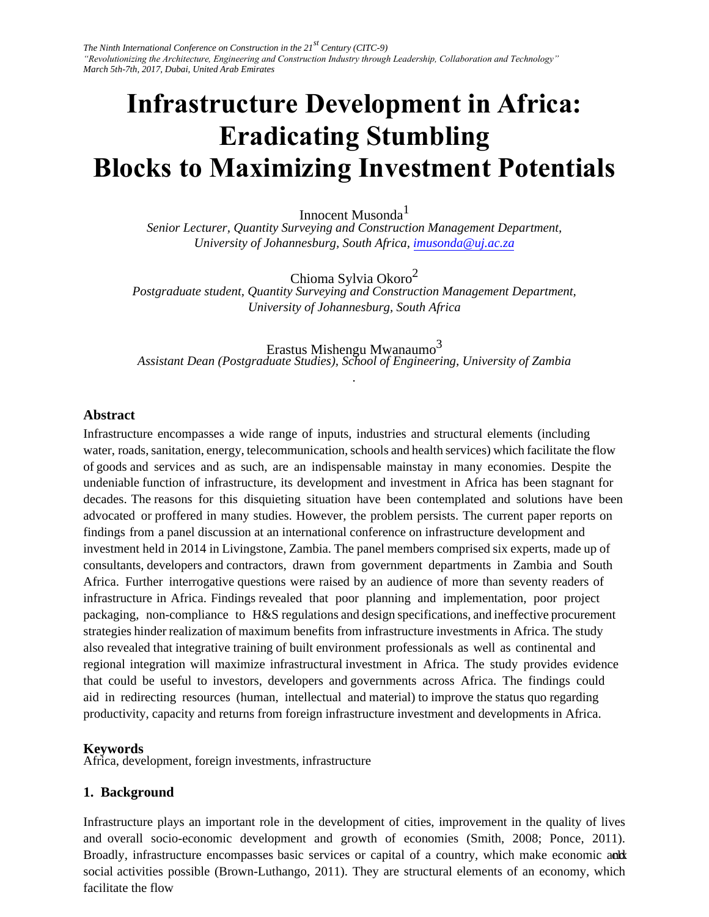# **Infrastructure Development in Africa: Eradicating Stumbling Blocks to Maximizing Inv[estment Po](mailto:imusonda@uj.ac.za)tentials**

Innocent Musonda<sup>1</sup> *Senior Lecturer, Quantity Surveying and Construction Management Department, University of Johannesburg, South Africa, imusonda@uj.ac.za*

Chioma Sylvia Okoro<sup>2</sup> *Postgraduate student, Quantity Surveying and Construction Management Department, University of Johannesburg, South Africa* 

Erastus Mishengu Mwanaumo $^3$ *Assistant Dean (Postgraduate Studies), School of Engineering, University of Zambia* 

*.* 

#### **Abstract**

Infrastructure encompasses a wide range of inputs, industries and structural elements (including water, roads, sanitation, energy, telecommunication, schools and health services) which facilitate the flow of goods and services and as such, are an indispensable mainstay in many economies. Despite the undeniable function of infrastructure, its development and investment in Africa has been stagnant for decades. The reasons for this disquieting situation have been contemplated and solutions have been advocated or proffered in many studies. However, the problem persists. The current paper reports on findings from a panel discussion at an international conference on infrastructure development and investment held in 2014 in Livingstone, Zambia. The panel members comprised six experts, made up of consultants, developers and contractors, drawn from government departments in Zambia and South Africa. Further interrogative questions were raised by an audience of more than seventy readers of infrastructure in Africa. Findings revealed that poor planning and implementation, poor project packaging, non-compliance to H&S regulations and design specifications, and ineffective procurement strategies hinder realization of maximum benefits from infrastructure investments in Africa. The study also revealed that integrative training of built environment professionals as well as continental and regional integration will maximize infrastructural investment in Africa. The study provides evidence that could be useful to investors, developers and governments across Africa. The findings could aid in redirecting resources (human, intellectual and material) to improve the status quo regarding productivity, capacity and returns from foreign infrastructure investment and developments in Africa.

#### **Keywords**

Africa, development, foreign investments, infrastructure

#### **1. Background**

Broadly, infrastructure encompasses basic services or capital of a country, which make economic and social activities possible (Brown-Luthango, 2011). They are structural elements of an economy, which Infrastructure plays an important role in the development of cities, improvement in the quality of lives and overall socio-economic development and growth of economies (Smith, 2008; Ponce, 2011). facilitate the flow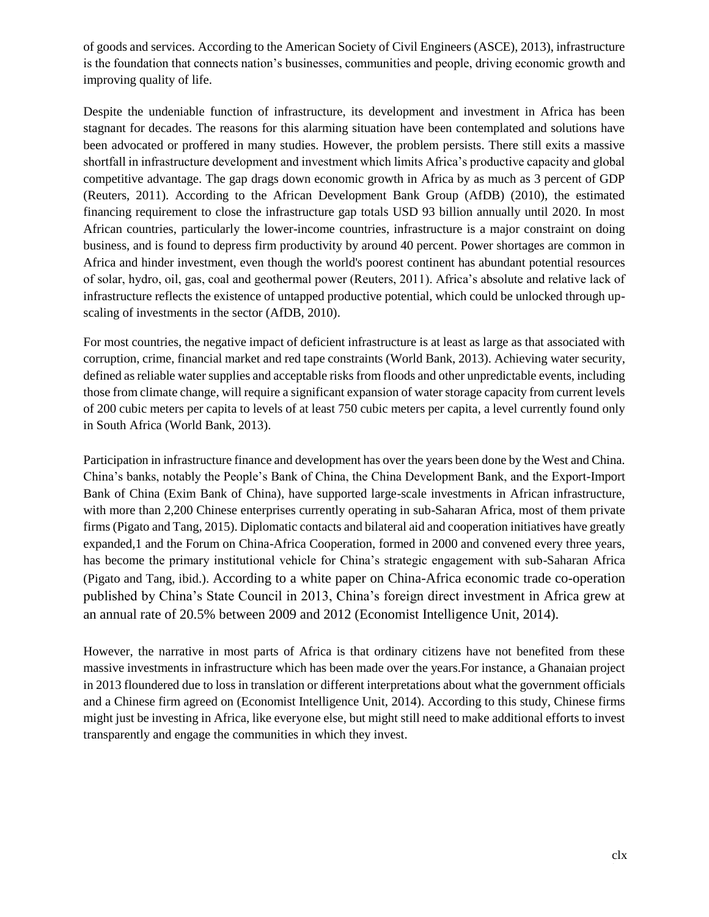of goods and services. According to the American Society of Civil Engineers (ASCE), 2013), infrastructure is the foundation that connects nation's businesses, communities and people, driving economic growth and improving quality of life.

Despite the undeniable function of infrastructure, its development and investment in Africa has been stagnant for decades. The reasons for this alarming situation have been contemplated and solutions have been advocated or proffered in many studies. However, the problem persists. There still exits a massive shortfall in infrastructure development and investment which limits Africa's productive capacity and global competitive advantage. The gap drags down economic growth in Africa by as much as 3 percent of GDP (Reuters, 2011). According to the African Development Bank Group (AfDB) (2010), the estimated financing requirement to close the infrastructure gap totals USD 93 billion annually until 2020. In most African countries, particularly the lower-income countries, infrastructure is a major constraint on doing business, and is found to depress firm productivity by around 40 percent. Power shortages are common in Africa and hinder investment, even though the world's poorest continent has abundant potential resources of solar, hydro, oil, gas, coal and geothermal power (Reuters, 2011). Africa's absolute and relative lack of infrastructure reflects the existence of untapped productive potential, which could be unlocked through upscaling of investments in the sector (AfDB, 2010).

For most countries, the negative impact of deficient infrastructure is at least as large as that associated with corruption, crime, financial market and red tape constraints (World Bank, 2013). Achieving water security, defined as reliable water supplies and acceptable risks from floods and other unpredictable events, including those from climate change, will require a significant expansion of water storage capacity from current levels of 200 cubic meters per capita to levels of at least 750 cubic meters per capita, a level currently found only in South Africa (World Bank, 2013).

Participation in infrastructure finance and development has over the years been done by the West and China. China's banks, notably the People's Bank of China, the China Development Bank, and the Export-Import Bank of China (Exim Bank of China), have supported large-scale investments in African infrastructure, with more than 2,200 Chinese enterprises currently operating in sub-Saharan Africa, most of them private firms (Pigato and Tang, 2015). Diplomatic contacts and bilateral aid and cooperation initiatives have greatly expanded,1 and the Forum on China-Africa Cooperation, formed in 2000 and convened every three years, has become the primary institutional vehicle for China's strategic engagement with sub-Saharan Africa (Pigato and Tang, ibid.). According to a white paper on China-Africa economic trade co-operation published by China's State Council in 2013, China's foreign direct investment in Africa grew at an annual rate of 20.5% between 2009 and 2012 (Economist Intelligence Unit, 2014).

However, the narrative in most parts of Africa is that ordinary citizens have not benefited from these massive investments in infrastructure which has been made over the years.For instance, a Ghanaian project in 2013 floundered due to loss in translation or different interpretations about what the government officials and a Chinese firm agreed on (Economist Intelligence Unit, 2014). According to this study, Chinese firms might just be investing in Africa, like everyone else, but might still need to make additional efforts to invest transparently and engage the communities in which they invest.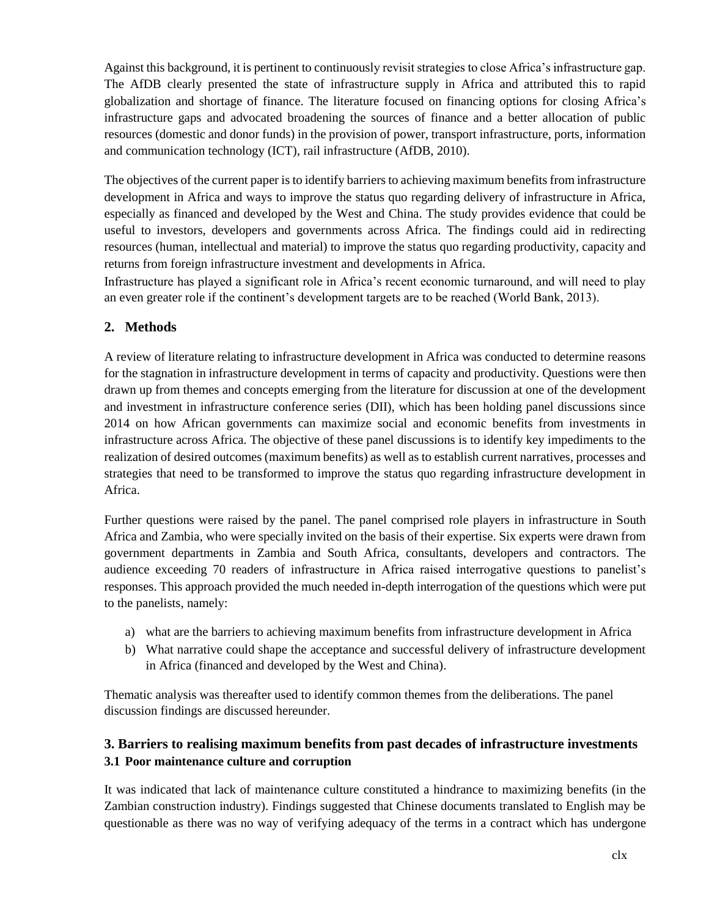Against this background, it is pertinent to continuously revisit strategies to close Africa's infrastructure gap. The AfDB clearly presented the state of infrastructure supply in Africa and attributed this to rapid globalization and shortage of finance. The literature focused on financing options for closing Africa's infrastructure gaps and advocated broadening the sources of finance and a better allocation of public resources (domestic and donor funds) in the provision of power, transport infrastructure, ports, information and communication technology (ICT), rail infrastructure (AfDB, 2010).

The objectives of the current paper is to identify barriers to achieving maximum benefits from infrastructure development in Africa and ways to improve the status quo regarding delivery of infrastructure in Africa, especially as financed and developed by the West and China. The study provides evidence that could be useful to investors, developers and governments across Africa. The findings could aid in redirecting resources (human, intellectual and material) to improve the status quo regarding productivity, capacity and returns from foreign infrastructure investment and developments in Africa.

Infrastructure has played a significant role in Africa's recent economic turnaround, and will need to play an even greater role if the continent's development targets are to be reached (World Bank, 2013).

# **2. Methods**

A review of literature relating to infrastructure development in Africa was conducted to determine reasons for the stagnation in infrastructure development in terms of capacity and productivity. Questions were then drawn up from themes and concepts emerging from the literature for discussion at one of the development and investment in infrastructure conference series (DII), which has been holding panel discussions since 2014 on how African governments can maximize social and economic benefits from investments in infrastructure across Africa. The objective of these panel discussions is to identify key impediments to the realization of desired outcomes (maximum benefits) as well as to establish current narratives, processes and strategies that need to be transformed to improve the status quo regarding infrastructure development in Africa.

Further questions were raised by the panel. The panel comprised role players in infrastructure in South Africa and Zambia, who were specially invited on the basis of their expertise. Six experts were drawn from government departments in Zambia and South Africa, consultants, developers and contractors. The audience exceeding 70 readers of infrastructure in Africa raised interrogative questions to panelist's responses. This approach provided the much needed in-depth interrogation of the questions which were put to the panelists, namely:

- a) what are the barriers to achieving maximum benefits from infrastructure development in Africa
- b) What narrative could shape the acceptance and successful delivery of infrastructure development in Africa (financed and developed by the West and China).

Thematic analysis was thereafter used to identify common themes from the deliberations. The panel discussion findings are discussed hereunder.

# **3. Barriers to realising maximum benefits from past decades of infrastructure investments 3.1 Poor maintenance culture and corruption**

It was indicated that lack of maintenance culture constituted a hindrance to maximizing benefits (in the Zambian construction industry). Findings suggested that Chinese documents translated to English may be questionable as there was no way of verifying adequacy of the terms in a contract which has undergone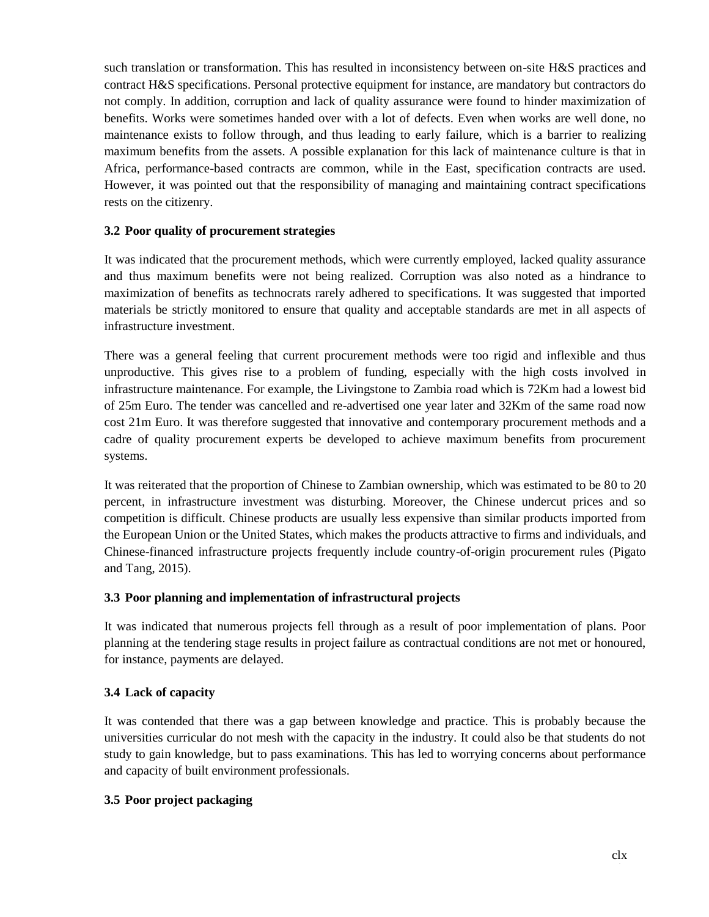such translation or transformation. This has resulted in inconsistency between on-site H&S practices and contract H&S specifications. Personal protective equipment for instance, are mandatory but contractors do not comply. In addition, corruption and lack of quality assurance were found to hinder maximization of benefits. Works were sometimes handed over with a lot of defects. Even when works are well done, no maintenance exists to follow through, and thus leading to early failure, which is a barrier to realizing maximum benefits from the assets. A possible explanation for this lack of maintenance culture is that in Africa, performance-based contracts are common, while in the East, specification contracts are used. However, it was pointed out that the responsibility of managing and maintaining contract specifications rests on the citizenry.

#### **3.2 Poor quality of procurement strategies**

It was indicated that the procurement methods, which were currently employed, lacked quality assurance and thus maximum benefits were not being realized. Corruption was also noted as a hindrance to maximization of benefits as technocrats rarely adhered to specifications. It was suggested that imported materials be strictly monitored to ensure that quality and acceptable standards are met in all aspects of infrastructure investment.

There was a general feeling that current procurement methods were too rigid and inflexible and thus unproductive. This gives rise to a problem of funding, especially with the high costs involved in infrastructure maintenance. For example, the Livingstone to Zambia road which is 72Km had a lowest bid of 25m Euro. The tender was cancelled and re-advertised one year later and 32Km of the same road now cost 21m Euro. It was therefore suggested that innovative and contemporary procurement methods and a cadre of quality procurement experts be developed to achieve maximum benefits from procurement systems.

It was reiterated that the proportion of Chinese to Zambian ownership, which was estimated to be 80 to 20 percent, in infrastructure investment was disturbing. Moreover, the Chinese undercut prices and so competition is difficult. Chinese products are usually less expensive than similar products imported from the European Union or the United States, which makes the products attractive to firms and individuals, and Chinese-financed infrastructure projects frequently include country-of-origin procurement rules (Pigato and Tang, 2015).

### **3.3 Poor planning and implementation of infrastructural projects**

It was indicated that numerous projects fell through as a result of poor implementation of plans. Poor planning at the tendering stage results in project failure as contractual conditions are not met or honoured, for instance, payments are delayed.

#### **3.4 Lack of capacity**

It was contended that there was a gap between knowledge and practice. This is probably because the universities curricular do not mesh with the capacity in the industry. It could also be that students do not study to gain knowledge, but to pass examinations. This has led to worrying concerns about performance and capacity of built environment professionals.

### **3.5 Poor project packaging**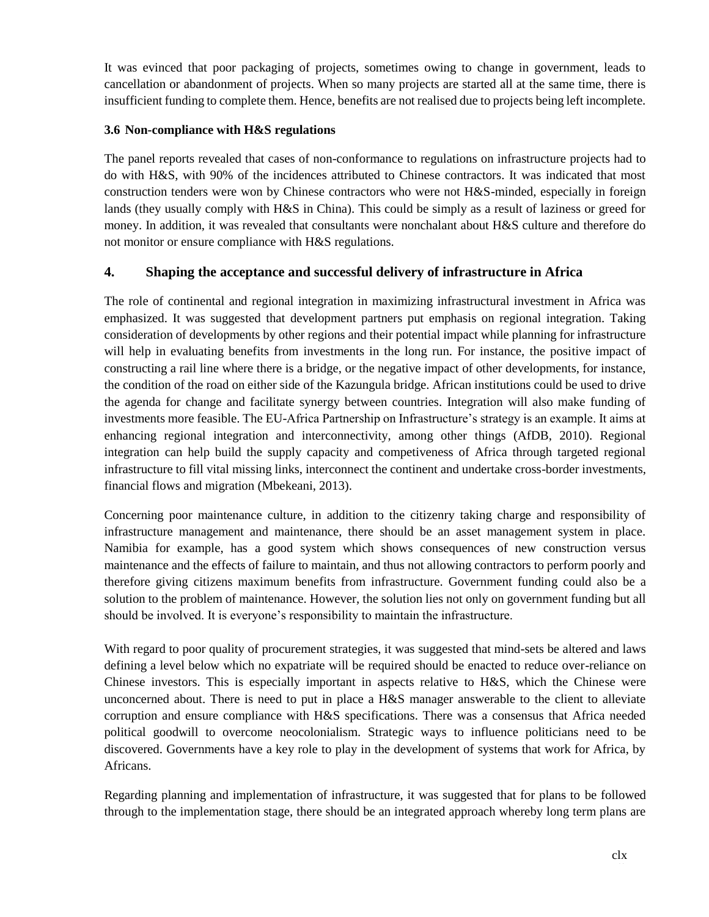It was evinced that poor packaging of projects, sometimes owing to change in government, leads to cancellation or abandonment of projects. When so many projects are started all at the same time, there is insufficient funding to complete them. Hence, benefits are not realised due to projects being left incomplete.

## **3.6 Non-compliance with H&S regulations**

The panel reports revealed that cases of non-conformance to regulations on infrastructure projects had to do with H&S, with 90% of the incidences attributed to Chinese contractors. It was indicated that most construction tenders were won by Chinese contractors who were not H&S-minded, especially in foreign lands (they usually comply with H&S in China). This could be simply as a result of laziness or greed for money. In addition, it was revealed that consultants were nonchalant about H&S culture and therefore do not monitor or ensure compliance with H&S regulations.

# **4. Shaping the acceptance and successful delivery of infrastructure in Africa**

The role of continental and regional integration in maximizing infrastructural investment in Africa was emphasized. It was suggested that development partners put emphasis on regional integration. Taking consideration of developments by other regions and their potential impact while planning for infrastructure will help in evaluating benefits from investments in the long run. For instance, the positive impact of constructing a rail line where there is a bridge, or the negative impact of other developments, for instance, the condition of the road on either side of the Kazungula bridge. African institutions could be used to drive the agenda for change and facilitate synergy between countries. Integration will also make funding of investments more feasible. The EU-Africa Partnership on Infrastructure's strategy is an example. It aims at enhancing regional integration and interconnectivity, among other things (AfDB, 2010). Regional integration can help build the supply capacity and competiveness of Africa through targeted regional infrastructure to fill vital missing links, interconnect the continent and undertake cross-border investments, financial flows and migration (Mbekeani, 2013).

Concerning poor maintenance culture, in addition to the citizenry taking charge and responsibility of infrastructure management and maintenance, there should be an asset management system in place. Namibia for example, has a good system which shows consequences of new construction versus maintenance and the effects of failure to maintain, and thus not allowing contractors to perform poorly and therefore giving citizens maximum benefits from infrastructure. Government funding could also be a solution to the problem of maintenance. However, the solution lies not only on government funding but all should be involved. It is everyone's responsibility to maintain the infrastructure.

With regard to poor quality of procurement strategies, it was suggested that mind-sets be altered and laws defining a level below which no expatriate will be required should be enacted to reduce over-reliance on Chinese investors. This is especially important in aspects relative to H&S, which the Chinese were unconcerned about. There is need to put in place a H&S manager answerable to the client to alleviate corruption and ensure compliance with H&S specifications. There was a consensus that Africa needed political goodwill to overcome neocolonialism. Strategic ways to influence politicians need to be discovered. Governments have a key role to play in the development of systems that work for Africa, by Africans.

Regarding planning and implementation of infrastructure, it was suggested that for plans to be followed through to the implementation stage, there should be an integrated approach whereby long term plans are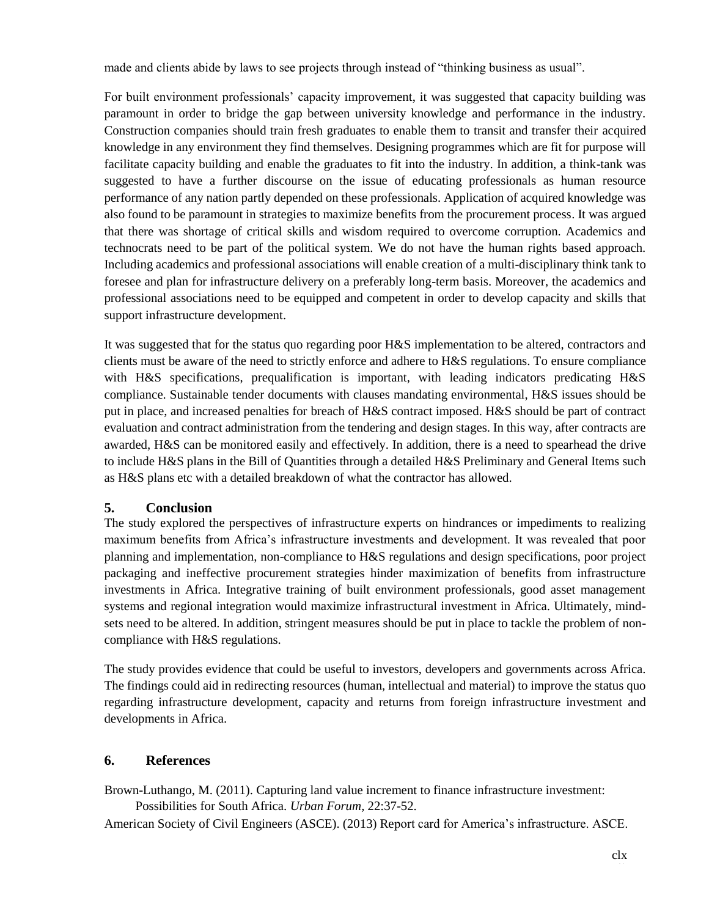made and clients abide by laws to see projects through instead of "thinking business as usual".

For built environment professionals' capacity improvement, it was suggested that capacity building was paramount in order to bridge the gap between university knowledge and performance in the industry. Construction companies should train fresh graduates to enable them to transit and transfer their acquired knowledge in any environment they find themselves. Designing programmes which are fit for purpose will facilitate capacity building and enable the graduates to fit into the industry. In addition, a think-tank was suggested to have a further discourse on the issue of educating professionals as human resource performance of any nation partly depended on these professionals. Application of acquired knowledge was also found to be paramount in strategies to maximize benefits from the procurement process. It was argued that there was shortage of critical skills and wisdom required to overcome corruption. Academics and technocrats need to be part of the political system. We do not have the human rights based approach. Including academics and professional associations will enable creation of a multi-disciplinary think tank to foresee and plan for infrastructure delivery on a preferably long-term basis. Moreover, the academics and professional associations need to be equipped and competent in order to develop capacity and skills that support infrastructure development.

It was suggested that for the status quo regarding poor H&S implementation to be altered, contractors and clients must be aware of the need to strictly enforce and adhere to H&S regulations. To ensure compliance with H&S specifications, prequalification is important, with leading indicators predicating H&S compliance. Sustainable tender documents with clauses mandating environmental, H&S issues should be put in place, and increased penalties for breach of H&S contract imposed. H&S should be part of contract evaluation and contract administration from the tendering and design stages. In this way, after contracts are awarded, H&S can be monitored easily and effectively. In addition, there is a need to spearhead the drive to include H&S plans in the Bill of Quantities through a detailed H&S Preliminary and General Items such as H&S plans etc with a detailed breakdown of what the contractor has allowed.

### **5. Conclusion**

The study explored the perspectives of infrastructure experts on hindrances or impediments to realizing maximum benefits from Africa's infrastructure investments and development. It was revealed that poor planning and implementation, non-compliance to H&S regulations and design specifications, poor project packaging and ineffective procurement strategies hinder maximization of benefits from infrastructure investments in Africa. Integrative training of built environment professionals, good asset management systems and regional integration would maximize infrastructural investment in Africa. Ultimately, mindsets need to be altered. In addition, stringent measures should be put in place to tackle the problem of noncompliance with H&S regulations.

The study provides evidence that could be useful to investors, developers and governments across Africa. The findings could aid in redirecting resources (human, intellectual and material) to improve the status quo regarding infrastructure development, capacity and returns from foreign infrastructure investment and developments in Africa.

# **6. References**

Brown-Luthango, M. (2011). Capturing land value increment to finance infrastructure investment: Possibilities for South Africa. *Urban Forum,* 22:37-52.

American Society of Civil Engineers (ASCE). (2013) Report card for America's infrastructure. ASCE.